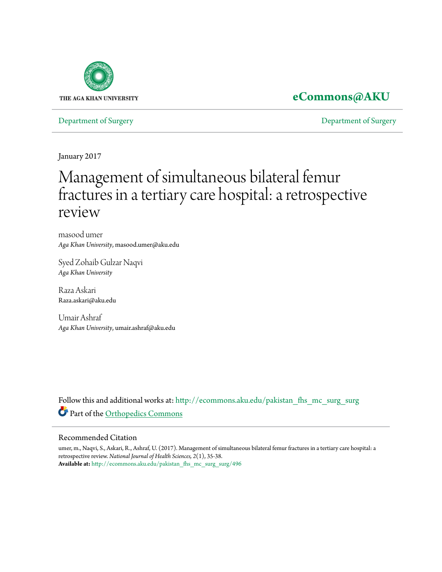

## **[eCommons@AKU](http://ecommons.aku.edu?utm_source=ecommons.aku.edu%2Fpakistan_fhs_mc_surg_surg%2F496&utm_medium=PDF&utm_campaign=PDFCoverPages)**

[Department of Surgery](http://ecommons.aku.edu/pakistan_fhs_mc_surg_surg?utm_source=ecommons.aku.edu%2Fpakistan_fhs_mc_surg_surg%2F496&utm_medium=PDF&utm_campaign=PDFCoverPages) [Department of Surgery](http://ecommons.aku.edu/pakistan_fhs_mc_surg?utm_source=ecommons.aku.edu%2Fpakistan_fhs_mc_surg_surg%2F496&utm_medium=PDF&utm_campaign=PDFCoverPages)

January 2017

# Management of simultaneous bilateral femur fractures in a tertiary care hospital: a retrospective review

masood umer *Aga Khan University*, masood.umer@aku.edu

Syed Zohaib Gulzar Naqvi *Aga Khan University*

Raza Askari Raza.askari@aku.edu

Umair Ashraf *Aga Khan University*, umair.ashraf@aku.edu

Follow this and additional works at: [http://ecommons.aku.edu/pakistan\\_fhs\\_mc\\_surg\\_surg](http://ecommons.aku.edu/pakistan_fhs_mc_surg_surg?utm_source=ecommons.aku.edu%2Fpakistan_fhs_mc_surg_surg%2F496&utm_medium=PDF&utm_campaign=PDFCoverPages) Part of the [Orthopedics Commons](http://network.bepress.com/hgg/discipline/696?utm_source=ecommons.aku.edu%2Fpakistan_fhs_mc_surg_surg%2F496&utm_medium=PDF&utm_campaign=PDFCoverPages)

#### Recommended Citation

umer, m., Naqvi, S., Askari, R., Ashraf, U. (2017). Management of simultaneous bilateral femur fractures in a tertiary care hospital: a retrospective review. *National Journal of Health Sciences, 2*(1), 35-38. **Available at:** [http://ecommons.aku.edu/pakistan\\_fhs\\_mc\\_surg\\_surg/496](http://ecommons.aku.edu/pakistan_fhs_mc_surg_surg/496)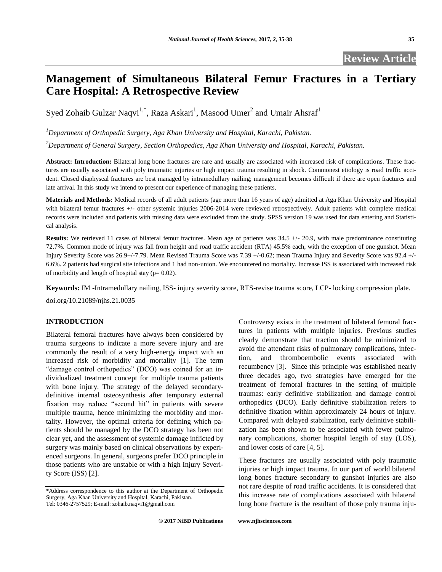### **Management of Simultaneous Bilateral Femur Fractures in a Tertiary Care Hospital: A Retrospective Review**

Syed Zohaib Gulzar Naqvi<sup>1,\*</sup>, Raza Askari<sup>1</sup>, Masood Umer<sup>2</sup> and Umair Ahsraf<sup>1</sup>

*<sup>1</sup>Department of Orthopedic Surgery, Aga Khan University and Hospital, Karachi, Pakistan.*

*<sup>2</sup>Department of General Surgery, Section Orthopedics, Aga Khan University and Hospital, Karachi, Pakistan.*

Abstract: Introduction: Bilateral long bone fractures are rare and usually are associated with increased risk of complications. These fractures are usually associated with poly traumatic injuries or high impact trauma resulting in shock. Commonest etiology is road traffic accident. Closed diaphyseal fractures are best managed by intramedullary nailing; management becomes difficult if there are open fractures and late arrival. In this study we intend to present our experience of managing these patients.

**Materials and Methods:** Medical records of all adult patients (age more than 16 years of age) admitted at Aga Khan University and Hospital with bilateral femur fractures +/- other systemic injuries 2006-2014 were reviewed retrospectively. Adult patients with complete medical records were included and patients with missing data were excluded from the study. SPSS version 19 was used for data entering and Statistical analysis.

**Results:** We retrieved 11 cases of bilateral femur fractures. Mean age of patients was 34.5 +/- 20.9, with male predominance constituting 72.7%. Common mode of injury was fall from height and road traffic accident (RTA) 45.5% each, with the exception of one gunshot. Mean Injury Severity Score was 26.9+/-7.79. Mean Revised Trauma Score was 7.39 +/-0.62; mean Trauma Injury and Severity Score was 92.4 +/- 6.6%. 2 patients had surgical site infections and 1 had non-union. We encountered no mortality. Increase ISS is associated with increased risk of morbidity and length of hospital stay ( $p= 0.02$ ).

**Keywords:** IM -Intramedullary nailing, ISS- injury severity score, RTS-revise trauma score, LCP- locking compression plate. doi.org/10.21089/njhs.21.0035

#### **INTRODUCTION**

Bilateral femoral fractures have always been considered by trauma surgeons to indicate a more severe injury and are commonly the result of a very high-energy impact with an increased risk of morbidity and mortality [1]. The term "damage control orthopedics" (DCO) was coined for an individualized treatment concept for multiple trauma patients with bone injury. The strategy of the delayed secondarydefinitive internal osteosynthesis after temporary external fixation may reduce "second hit" in patients with severe multiple trauma, hence minimizing the morbidity and mortality. However, the optimal criteria for defining which patients should be managed by the DCO strategy has been not clear yet, and the assessment of systemic damage inflicted by surgery was mainly based on clinical observations by experienced surgeons. In general, surgeons prefer DCO principle in those patients who are unstable or with a high Injury Severity Score (ISS) [2].

Controversy exists in the treatment of bilateral femoral fractures in patients with multiple injuries. Previous studies clearly demonstrate that traction should be minimized to avoid the attendant risks of pulmonary complications, infection, and thromboembolic events associated with recumbency [3]. Since this principle was established nearly three decades ago, two strategies have emerged for the treatment of femoral fractures in the setting of multiple traumas: early definitive stabilization and damage control orthopedics (DCO). Early definitive stabilization refers to definitive fixation within approximately 24 hours of injury. Compared with delayed stabilization, early definitive stabilization has been shown to be associated with fewer pulmonary complications, shorter hospital length of stay (LOS), and lower costs of care [4, 5].

These fractures are usually associated with poly traumatic injuries or high impact trauma. In our part of world bilateral long bones fracture secondary to gunshot injuries are also not rare despite of road traffic accidents. It is considered that this increase rate of complications associated with bilateral long bone fracture is the resultant of those poly trauma inju-

<sup>\*</sup>Address correspondence to this author at the Department of Orthopedic Surgery, Aga Khan University and Hospital, Karachi, Pakistan. Tel: 0346-2757529; E-mail[: zohaib.naqvi1@gmail.com](mailto:zohaib.naqvi1@gmail.com)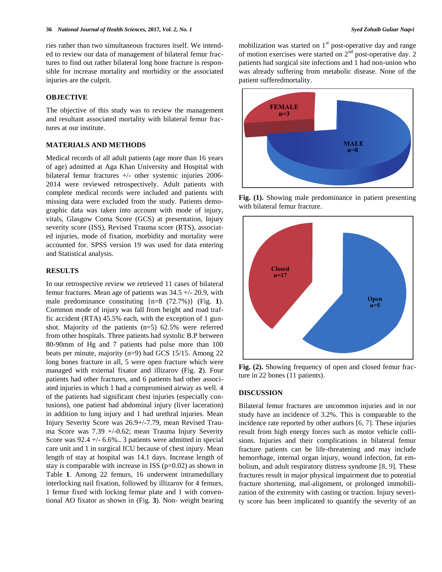ries rather than two simultaneous fractures itself. We intended to review our data of management of bilateral femur fractures to find out rather bilateral long bone fracture is responsible for increase mortality and morbidity or the associated injuries are the culprit.

#### **OBJECTIVE**

The objective of this study was to review the management and resultant associated mortality with bilateral femur fractures at our institute.

#### **MATERIALS AND METHODS**

Medical records of all adult patients (age more than 16 years of age) admitted at Aga Khan University and Hospital with bilateral femur fractures +/- other systemic injuries 2006- 2014 were reviewed retrospectively. Adult patients with complete medical records were included and patients with missing data were excluded from the study. Patients demographic data was taken into account with mode of injury, vitals, Glasgow Coma Score (GCS) at presentation, Injury severity score (ISS), Revised Trauma score (RTS), associated injuries, mode of fixation, morbidity and mortality were accounted for. SPSS version 19 was used for data entering and Statistical analysis.

#### **RESULTS**

In our retrospective review we retrieved 11 cases of bilateral femur fractures. Mean age of patients was 34.5 +/- 20.9, with male predominance constituting {n=8 (72.7%)} (Fig. **1**). Common mode of injury was fall from height and road traffic accident (RTA) 45.5% each, with the exception of 1 gunshot. Majority of the patients (n=5) 62.5% were referred from other hospitals. Three patients had systolic B.P between 80-90mm of Hg and 7 patients had pulse more than 100 beats per minute, majority (n=9) had GCS 15/15. Among 22 long bones fracture in all, 5 were open fracture which were managed with external fixator and illizarov (Fig. **2**). Four patients had other fractures, and 6 patients had other associated injuries in which 1 had a compromised airway as well. 4 of the patients had significant chest injuries (especially contusions), one patient had abdominal injury (liver laceration) in addition to lung injury and 1 had urethral injuries. Mean Injury Severity Score was 26.9+/-7.79, mean Revised Trauma Score was 7.39 +/-0.62; mean Trauma Injury Severity Score was 92.4 +/- 6.6%.. 3 patients were admitted in special care unit and 1 in surgical ICU because of chest injury. Mean length of stay at hospital was 14.1 days. Increase length of stay is comparable with increase in ISS  $(p=0.02)$  as shown in Table **1**. Among 22 femurs, 16 underwent intramedullary interlocking nail fixation, followed by illizarov for 4 femurs, 1 femur fixed with locking femur plate and 1 with conventional AO fixator as shown in (Fig. **3**). Non- weight bearing mobilization was started on  $1<sup>st</sup>$  post-operative day and range of motion exercises were started on  $2<sup>nd</sup>$  post-operative day. 2 patients had surgical site infections and 1 had non-union who was already suffering from metabolic disease. None of the patient sufferedmortality.



**Fig. (1).** Showing male predominance in patient presenting with bilateral femur fracture.



**Fig. (2).** Showing frequency of open and closed femur fracture in 22 bones (11 patients).

#### **DISCUSSION**

Bilateral femur fractures are uncommon injuries and in our study have an incidence of 3.2%. This is comparable to the incidence rate reported by other authors [6, 7]. These injuries result from high energy forces such as motor vehicle collisions. Injuries and their complications in bilateral femur fracture patients can be life-threatening and may include hemorrhage, internal organ injury, wound infection, fat embolism, and adult respiratory distress syndrome [8, 9]. These fractures result in major physical impairment due to potential fracture shortening, mal-alignment, or prolonged immobilization of the extremity with casting or traction. Injury severity score has been implicated to quantify the severity of an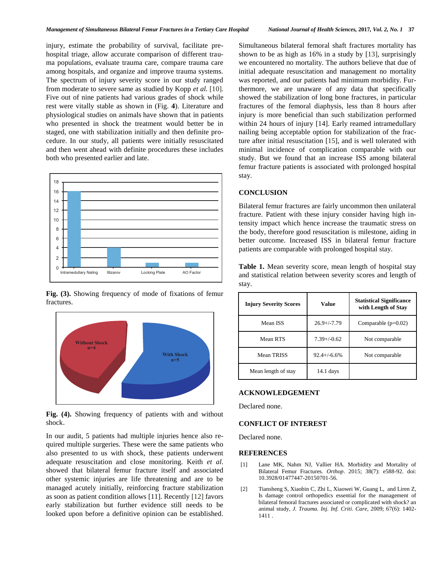injury, estimate the probability of survival, facilitate prehospital triage, allow accurate comparison of different trauma populations, evaluate trauma care, compare trauma care among hospitals, and organize and improve trauma systems. The spectrum of injury severity score in our study ranged from moderate to severe same as studied by Kopp *et al.* [10]. Five out of nine patients had various grades of shock while rest were vitally stable as shown in (Fig. **4**). Literature and physiological studies on animals have shown that in patients who presented in shock the treatment would better be in staged, one with stabilization initially and then definite procedure. In our study, all patients were initially resuscitated and then went ahead with definite procedures these includes both who presented earlier and late.



**Fig. (3).** Showing frequency of mode of fixations of femur fractures.



**Fig. (4).** Showing frequency of patients with and without shock.

In our audit, 5 patients had multiple injuries hence also required multiple surgeries. These were the same patients who also presented to us with shock, these patients underwent adequate resuscitation and close monitoring. Keith *et al.* showed that bilateral femur fracture itself and associated other systemic injuries are life threatening and are to be managed acutely initially, reinforcing fracture stabilization as soon as patient condition allows [11]. Recently [12] favors early stabilization but further evidence still needs to be looked upon before a definitive opinion can be established. Simultaneous bilateral femoral shaft fractures mortality has shown to be as high as 16% in a study by [13], surprisingly we encountered no mortality. The authors believe that due of initial adequate resuscitation and management no mortality was reported, and our patients had minimum morbidity. Furthermore, we are unaware of any data that specifically showed the stabilization of long bone fractures, in particular fractures of the femoral diaphysis, less than 8 hours after injury is more beneficial than such stabilization performed within 24 hours of injury [14]. Early reamed intramedullary nailing being acceptable option for stabilization of the fracture after initial resuscitation [15], and is well tolerated with minimal incidence of complication comparable with our study. But we found that an increase ISS among bilateral femur fracture patients is associated with prolonged hospital stay.

#### **CONCLUSION**

Bilateral femur fractures are fairly uncommon then unilateral fracture. Patient with these injury consider having high intensity impact which hence increase the traumatic stress on the body, therefore good resuscitation is milestone, aiding in better outcome. Increased ISS in bilateral femur fracture patients are comparable with prolonged hospital stay.

**Table 1.** Mean severity score, mean length of hospital stay and statistical relation between severity scores and length of stay.

| <b>Injury Severity Scores</b> | Value            | <b>Statistical Significance</b><br>with Length of Stay |
|-------------------------------|------------------|--------------------------------------------------------|
| Mean ISS                      | $26.9 + (-7.79)$ | Comparable $(p=0.02)$                                  |
| Mean RTS                      | $7.39+/0.62$     | Not comparable                                         |
| Mean TRISS                    | $92.4 + (-6.6%$  | Not comparable                                         |
| Mean length of stay           | $14.1$ days      |                                                        |

#### **ACKNOWLEDGEMENT**

Declared none.

#### **CONFLICT OF INTEREST**

Declared none.

#### **REFERENCES**

- [1] Lane MK, Nahm NJ, Vallier HA. Morbidity and Mortality of Bilateral Femur Fractures. *Orthop*. 2015; 38(7): e588-92. doi: 10.3928/01477447-20150701-56.
- [2] Tiansheng S, Xiaobin C, Zhi L, Xiaowei W, Guang L, and Liren Z, Is damage control orthopedics essential for the management of bilateral femoral fractures associated or complicated with shock? an animal study, *J. Trauma. Inj. Inf. Criti. Care*, 2009; 67(6): 1402- 1411 .